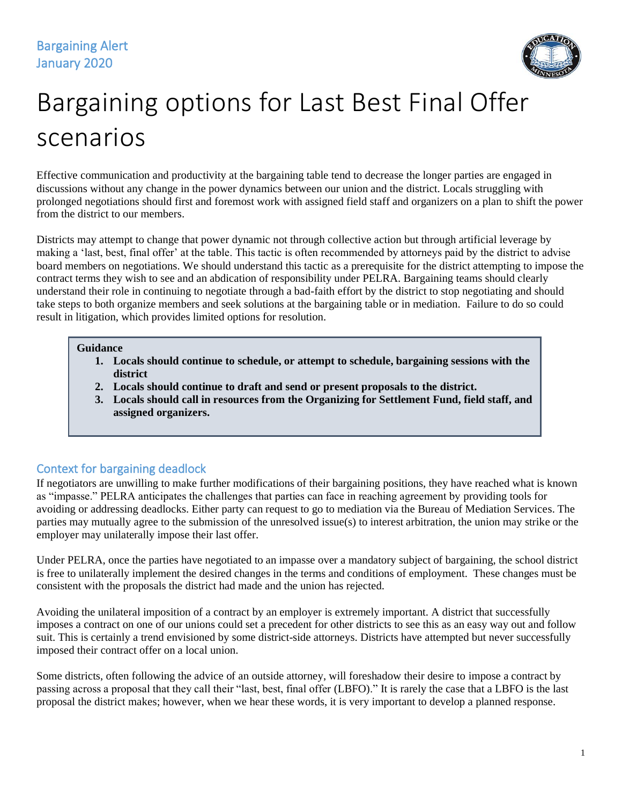

# Bargaining options for Last Best Final Offer scenarios

Effective communication and productivity at the bargaining table tend to decrease the longer parties are engaged in discussions without any change in the power dynamics between our union and the district. Locals struggling with prolonged negotiations should first and foremost work with assigned field staff and organizers on a plan to shift the power from the district to our members.

Districts may attempt to change that power dynamic not through collective action but through artificial leverage by making a 'last, best, final offer' at the table. This tactic is often recommended by attorneys paid by the district to advise board members on negotiations. We should understand this tactic as a prerequisite for the district attempting to impose the contract terms they wish to see and an abdication of responsibility under PELRA. Bargaining teams should clearly understand their role in continuing to negotiate through a bad-faith effort by the district to stop negotiating and should take steps to both organize members and seek solutions at the bargaining table or in mediation. Failure to do so could result in litigation, which provides limited options for resolution.

#### **Guidance**

- **1. Locals should continue to schedule, or attempt to schedule, bargaining sessions with the district**
- **2. Locals should continue to draft and send or present proposals to the district.**
- **3. Locals should call in resources from the Organizing for Settlement Fund, field staff, and assigned organizers.**

## Context for bargaining deadlock

If negotiators are unwilling to make further modifications of their bargaining positions, they have reached what is known as "impasse." PELRA anticipates the challenges that parties can face in reaching agreement by providing tools for avoiding or addressing deadlocks. Either party can request to go to mediation via the Bureau of Mediation Services. The parties may mutually agree to the submission of the unresolved issue(s) to interest arbitration, the union may strike or the employer may unilaterally impose their last offer.

Under PELRA, once the parties have negotiated to an impasse over a mandatory subject of bargaining, the school district is free to unilaterally implement the desired changes in the terms and conditions of employment. These changes must be consistent with the proposals the district had made and the union has rejected.

Avoiding the unilateral imposition of a contract by an employer is extremely important. A district that successfully imposes a contract on one of our unions could set a precedent for other districts to see this as an easy way out and follow suit. This is certainly a trend envisioned by some district-side attorneys. Districts have attempted but never successfully imposed their contract offer on a local union.

Some districts, often following the advice of an outside attorney, will foreshadow their desire to impose a contract by passing across a proposal that they call their "last, best, final offer (LBFO)." It is rarely the case that a LBFO is the last proposal the district makes; however, when we hear these words, it is very important to develop a planned response.